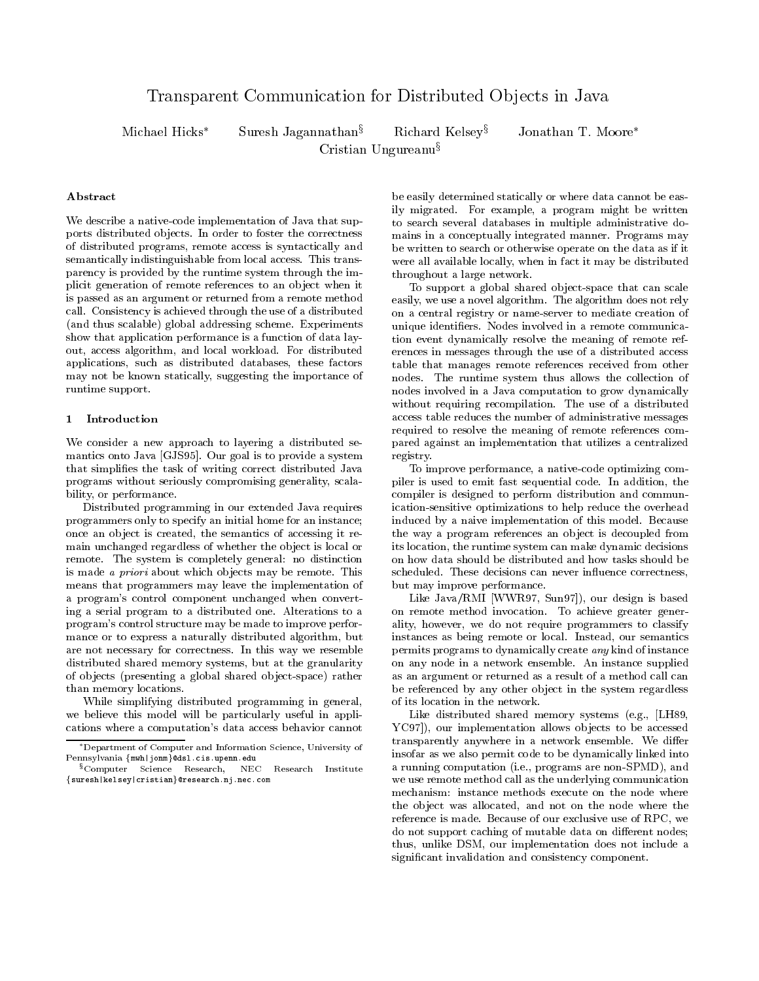Transparent Communication for Distributed Ob jects in Java

Michael Hicks\* Suresh Jagannathan<sup>§</sup> Richard Kelsey<sup>§</sup> Jonathan T. Moore\*

Cristian Ungureanu<sup>§</sup>

# Abstract

We describe a native-code implementation of Java that supports distributed ob jects In order to foster the correctness of distribution programs- remote access is symmetric access in the little semantically indistinguishable from local access. This transparency is provided by the runtime system through the im plicit generation of remote references to an ob ject when it is passed as an argument or returned from a remote method call. Consistency is achieved through the use of a distributed (and thus scalable) global addressing scheme. Experiments show that application performance is a function of data lay out-access algorithm- and local workload For distributed for distribution and  $\mathcal{L}_{\mathcal{A}}$ applications-the factors as distributed databases of the factors of the factors of the factors of the factors o  $\ldots$  , and the matrix statically-suggesting the importance of  $\ldots$ runtime support

## $\mathbf{1}$

We consider a new approach to layering a distributed semantics onto Java [GJS95]. Our goal is to provide a system that simplifies the task of writing correct distributed Java programs with serious many compromising generally, compromising bility, or performance. bility of the state of the state of the state of the state of the state of the state of the state of the state or performance in the performance of the performance of the performance of the performance of the performance of the performance of the performance of the performance of the performance of the performance of the performanc

Distributed programming in our extended Java requires programmers only to specify an initial home for an instance once an ob ject is created- the semantics of accessing it re main unchanged regardless of whether the ob ject is local or remote. The system is completely general: no distinction is made a priori about which objects may be remote. This means that programmers may leave the implementation of a program's control component unchanged when converting a serial program to a distributed one Alterations to a programs control structure may be made to improve perfor mance or to express a naturally distributed algorithm- but are not necessary for correctness In this way we resemble distributed shared memory systems-distributed memory systems-distributed memory systemsof objects (presenting a global shared object-space) rather than memory locations

While simplifying distributed programming in general, we believe this model will be particularly useful in appli cations where a computation's data access behavior cannot

be easily determined statically or where data cannot be eas ily migrated For example- a program might be written to search several databases in multiple administrative do mains in a conceptually integrated manner. Programs may be written to search or otherwise operate on the data as if it  $\sim$  and it matrices to the  $\mu$  - when the distributed it may be distributed it may be distributed in throughout a large network

To support a global shared object-space that can scale easily-ly-like a novel algorithm The algorithm and algorithm does not rely algorithm  $\mathcal{L}_{\mathcal{A}}$ on a central registry or nameserver to mediate creation of unique identifiers. Nodes involved in a remote communication event dynamically resolve the meaning of remote ref erences in messages through the use of a distributed access table that manages remote references received from other nodes The runtime system thus allows the collection of nodes involved in a Java computation to grow dynamically without requiring recompilation. The use of a distributed access table reduces the number of administrative messages required to resolve the meaning of remote references com pared against an implementation that utilizes a centralized registry

To improve performance- a nativecode optimizing com piece is used to emit fast sequential conditions and in additioncompiler is designed to perform distribution and commun ication-sensitive optimizations to help reduce the overhead induced by a naive implementation of this model. Because the way a program references an ob ject is decoupled from its location- the runtime system can make dynamic decisions on how data should be distributed and how tasks should be scheduled. These decisions can never influence correctness, but may improve performance

Like JavaRMI WWR- Sun- our design is based on remote method invocation To achieve greater gener ality-between the state programmers to contract the contract of the state of the state of the state of the state of the state of the state of the state of the state of the state of the state of the state of the state of th instances as being remote or local Instead- our semantics permits programs to dynamically create any kind of instance on any node in a network ensemble An instance supplied as an argument or returned as a result of a method call can be referenced by any other ob ject in the system regardless of its location in the network

Like distributed shared memory systems eg- LH-YC- our implementation allows ob jects to be accessed transparently anywhere in a network ensemble. We differ insofar as we also permit code to be dynamically linked into a running computation is the experiment are non-species are nonwe use remote method call as the underlying communication mechanism: instance methods execute on the node where the object was allocated and not on the notation of the node where  $\sim$ reference is made Because of the Because of the Because of RPC- we have used the Because of RPC- we have used do not support caching of mutable data on different nodes; thus-does not include DSM-based and DSM-based and DSM-based and DSM-based and DSM-based and DSM-based and DSMsignificant invalidation and consistency component.

<sup>\*</sup>Department of Computer and Information Science, University of Pennsylvania {mwh|jonm}@dsl.cis.upenn.edu

xComputer Science Research NEC Research Institute {suresh|kelsey|cristian}@research.nj.nec.com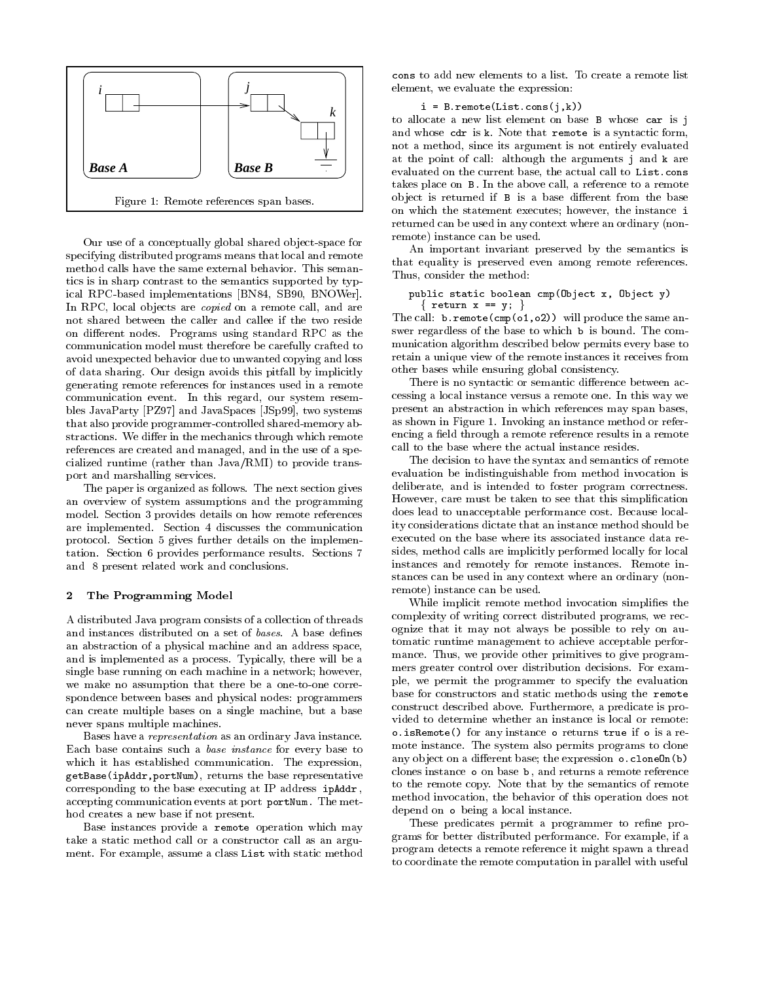

Our use of a conceptually global shared object-space for specifying distributed programs means that local and remote method calls have the same external behavior. This seman-<br>Thus, consider the method: tics is in sharp contrast to the semantics supported by typ ical RPC in planning in the second intervention and the second interventions are second in the second in the s and are compared on a report on a remote call-when when  $\sim$ not shared between the caller and callee if the two reside on different nodes. Programs using standard RPC as the communication model must therefore be carefully crafted to avoid unexpected behavior due to unwanted copying and loss of data sharing Our design avoids this pitfall by implicitly generating remote references for instances used in a remote communication event In this regard-term regard-term regard-term regard-term regard-term regard-term regard-ter bles Javas Spelg and Javas Javas Joseph Die Javas Javas Javas Javas Javas Javas Javas Javas Javas Javas Javas that also provide programmer-controlled shared-memory abstractions. We differ in the mechanics through which remote references are created and managed- and in the use of a spe cialized runtime (rather than Java/RMI) to provide transport and marshalling services

The paper is organized as follows. The next section gives an overview of system assumptions and the programming model. Section 3 provides details on how remote references are implemented. Section 4 discusses the communication protocol. Section 5 gives further details on the implementation. Section 6 provides performance results. Sections 7 and 8 present related work and conclusions.

# The Programming Model

A distributed Java program consists of a collection of threads and instances distributed on a set of bases. A base defines an abstraction of a physical machine and an address space, and is implemented as a process Typically-be as a process Typically-be a process Typically-be a process Typical single base running on each machine in a network howeverwe make no assumption that there be a one-to-one correspondence between bases and physical nodes: programmers can create multiple bases on a single machine- but a base never spans multiple machines

Bases have a representation as an ordinary Java instance Each base contains such a base instance for every base to which it has established communication. The expression, a returns the baseing parameters in the base representative representative representative representative representative representative representative representative representative representative representative representati corresponding to the base executing at IP address ipAddr, accepting communication events at port portNum. The method creates a new base if not present

Base instances provide a remote operation which may take a static method call or a constructor call as an argu ment For example- assume a class List with static method

cons to add new elements to a list. To create a remote list element-the evaluate the expression of the expression of the expression of the expression of the expression of

### i BremoteListconsjk--

to allocate a new list element on base B whose car is j and whose cdr is k. Note that remote is a syntactic form, not a method-sincered its argument is not entirely evaluated and at the point of call although the arguments j and k are evaluated on the actual call to Listcons and the actual call to Listcons and the actual call to Listcons and t takes place on B In the above call- a reference to a remote object is returned if  $B$  is a base different from the base in which the statement executive, however, the instance is the instance in returned can be used in any context where an ordinary (nonremote) instance can be used.

An important invariant preserved by the semantics is that equality is preserved even among remote references Thus, the contract of the contract of the contract of the contract of the contract of

### public static boolean cmp(Object x, Object y)  $\{$  return x == y;  $\}$

The call bremotecmpoo-- will produce the same an swer regardless of the base to which b is bound. The communication algorithm described below permits every base to retain a unique view of the remote instances it receives from other bases while ensuring global consistency

There is no syntactic or semantic difference between accessing a local instance versus a remote one In this way we present an abstraction in which references may span bases, as shown in Figure 1. Invoking an instance method or referencing a field through a remote reference results in a remote call to the base where the actual instance resides

The decision to have the syntax and semantics of remote evaluation be indistinguishable from method invocation is deliberate della correcta di correcta program correcta di correctione della correcta di correcta di correcta d are care must be taken to see that the third the third the simplification of the simplification of the simplification of the simplification of the simplification of the simplification of the simplification of the simplific does lead to unacceptable performance cost. Because locality considerations dictate that an instance method should be executed on the base where its associated instance data re sides- method calls are implicitly performed locally for local instances and remotely for remote instances Remote in stances can be used in any context where an ordinary (nonremote) instance can be used.

While implicit remote method invocation simplifies the complexity of writing corrects distributed programs- we rec ognize that it may not always be possible to rely on au tomatic runtime management to achieve acceptable perfor mance Thus- we provide other primitives to give program mers greater control over distribution decisions For exam ple- we permit the programmer to specify the evaluation base for constructors and static methods using the remote construct described above Furthermore- a predicate is pro vided to determine whether an instance is local or remote oisRemote- for any instance o returns true if o is a re mote instance. The system also permits programs to clone any ob ject on a dierent base the expression ocloneOnbclones instance o on base b - and returns a remote reference to the remote copy. Note that by the semantics of remote method invocation- the behavior of this operation does not depend on o being a local instance

These predicates permit a programmer to refine pro- $\mathbf{r}$  for better distributed performance  $\mathbf{r}$  and  $\mathbf{r}$  and  $\mathbf{r}$  and  $\mathbf{r}$  exampleprogram detects a remote reference it might spawn a thread to coordinate the remote computation in parallel with useful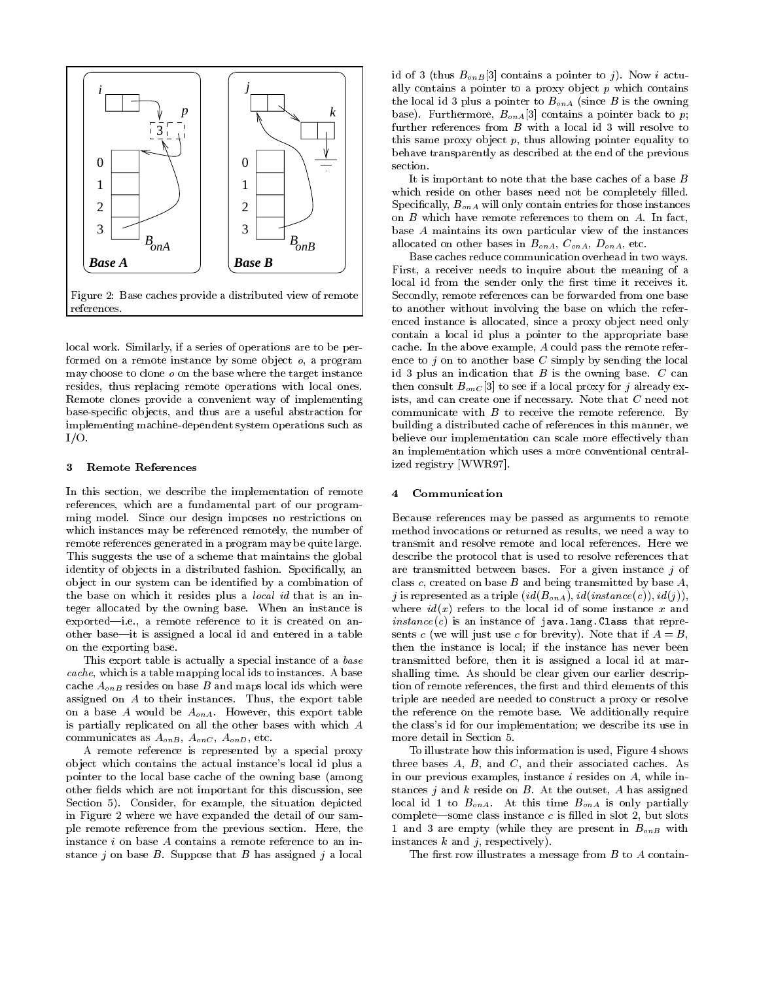

local work Similarly- if a series of operations are to be per formed on a remote instance by some ob ject o- a program may choose to clone <sup>o</sup> on the base where the target instance resides- thus replacing remote operations with local ones Remote clones provide a convenient way of implementing bases per and thus are a useful abstraction for the and thus are a useful abstraction for the abstraction for implementing machine-dependent system operations such as  $I/O$ .

#### $\mathbf{R}$ Remote References

In this section- we describe the implementation-  $\mathbb P$  . We describe the implementation of remote the implementation of remote references and are a fundamental part of our program ming model Since our design imposes no restrictions on which instances may be referenced reference may be referenced remotely-be referenced remotely-beneficially-beneficiallyremote references generated in a program may be quite large This suggests the use of a scheme that maintains the global identity of objects in a distributed fashion. Specifically, an object in our system can be identified by a combination of the base on which it resides plus a *local id* that is an integer allocated by the owning base When an instance is exportedie- a remote reference to it is created on an other base—it is assigned a local id and entered in a table on the exporting base

This export table is actually a special instance of a base cache-is a table mapping local ideas and the instances and the instances are the instances and instances A base cache  $A_{onB}$  resides on base B and maps local ids which were assigned on a to the export the export the export table to the export the state of the exponent of the exponent on a base are base a conquist notice to a more table table to the is partially replicated on all the other bases with which A communicates as AonB- AonC - AonD- etc

A remote reference is represented by a special proxy object which contains the actual instance's local id plus a pointer to the local base cache of the owning base (among other  $\mathbb{R}^n$  are not important for this discussion-this discussion-this discussion-this discussion-this discussion-Section Consider- for example- the situation depicted in Figure 2 where we have expanded the detail of our sample remote reference from the previous section Here- the instance  $i$  on base  $A$  contains a remote reference to an instance j on base  $B$ . Suppose that  $B$  has assigned j a local

id of 3 (thus  $B_{onB}$ [3] contains a pointer to j). Now i actually contains a pointer to a proxy object  $p$  which contains the local id 3 plus a pointer to  $B_{onA}$  (since B is the owning  $\mathcal{L}$  based  $\mathcal{L}$  and  $\mathcal{L}$  are pointer back to point to point  $\mathcal{L}$  . The point of  $\mathcal{L}$ further references from  $B$  with a local id 3 will resolve to this same proxy ob ject p- thus allowing pointer equality to behave transparently as described at the end of the previous

It is important to note that the base caches of a base B which reside on other bases need not be completely filled.  $S$  and  $S$  will only contain entries for the those instances for the those instances for the those instances for the those instances of the those instances for the those instances of the those instances of the those inst on  $B$  which have remote references to them on  $A$ . In fact, base A maintains its own particular view of the instances allocated on other bases in  $\alpha$ -range in  $\alpha$ -range in  $\alpha$ -range in  $\alpha$ -range in  $\alpha$ -range in  $\alpha$ 

Base caches reduce communication overhead in two ways First- a receiver needs to inquire about the meaning of a local id from the sender only the first time it receives it. Secondly- remote references can be forwarded from one base to another without involving the base on which the refer enced instance is allocated- since a proxy ob ject need only contain a local id plus a pointer to the appropriate base cache In the above example- A could pass the remote refer ence to  $j$  on to another base  $C$  simply by sending the local id  $3$  plus an indication that  $B$  is the owning base.  $C$  can then consult  $B_{\text{on}}C[3]$  to see if a local proxy for j already exists- and can create one if necessary Note that C need not communicate with  $B$  to receive the remote reference. By building a distribution of references in this manner-than the cachered cachered cachered cachered and the control of references in this mannerbelieve our implementation can scale more effectively than an implementation which uses a more conventional central ized registry [WWR97].

### Communication

 an are transmitted between bases For a given instance j of Because references may be passed as arguments to remote method in the catter of returned as results-control in a method in the part of the second as  $\alpha$ transmit and resolve remote and local references Here we describe the protocol that is used to resolve references that casses c<sub>l</sub>eated on base B and by base B and being transmitted by base Aj is represented as a triple  $(id(B_{onA}), id(instance(c)), id(j)),$ where  $id(x)$  refers to the local id of some instance x and  $i$ istance c is an instance of javalang stars that represents that  $i$ sents c (we will just use c for brevity). Note that if  $A = B$ , then the instance is local if the instance has never been then it is assigned a local ideal in the interval ideal in the interval ideal in  $\mathbf{M}$ shalling time. As should be clear given our earlier description of remote references-this control this control term is and this control this control this control term is triple are needed are needed to construct a proxy or resolve the reference on the remote base We additionally require the classic of for our implementations in the contract of the state in the contract of  $\mathcal{L}_\mathbf{z}$ more detail in Section

> To information is used-this information in this information is used in the state of the state of the state of the state of the state of the state of the state of the state of the state of the state of the state of the stat , and the cost  $\sim$  and  $\sim$  and  $\sim$  and  $\sim$  and  $\sim$  associated can be considered associated can in our previous examples- instance i resides on A- while in stances in At the outset-the on B At the outset-the on B At the outset-the outset-the outset-the outset-the ou local id 1 to  $B_{onA}$ . At this time  $B_{onA}$  is only partially completes instance completes instance completes instance c is a large slot of instance complete in slot - slot 1 and 3 are empty (while they are present in  $B_{onB}$  with instances k and j-mathematic control of the state of the state of the state of the state of the state of the s

The first row illustrates a message from  $B$  to  $A$  contain-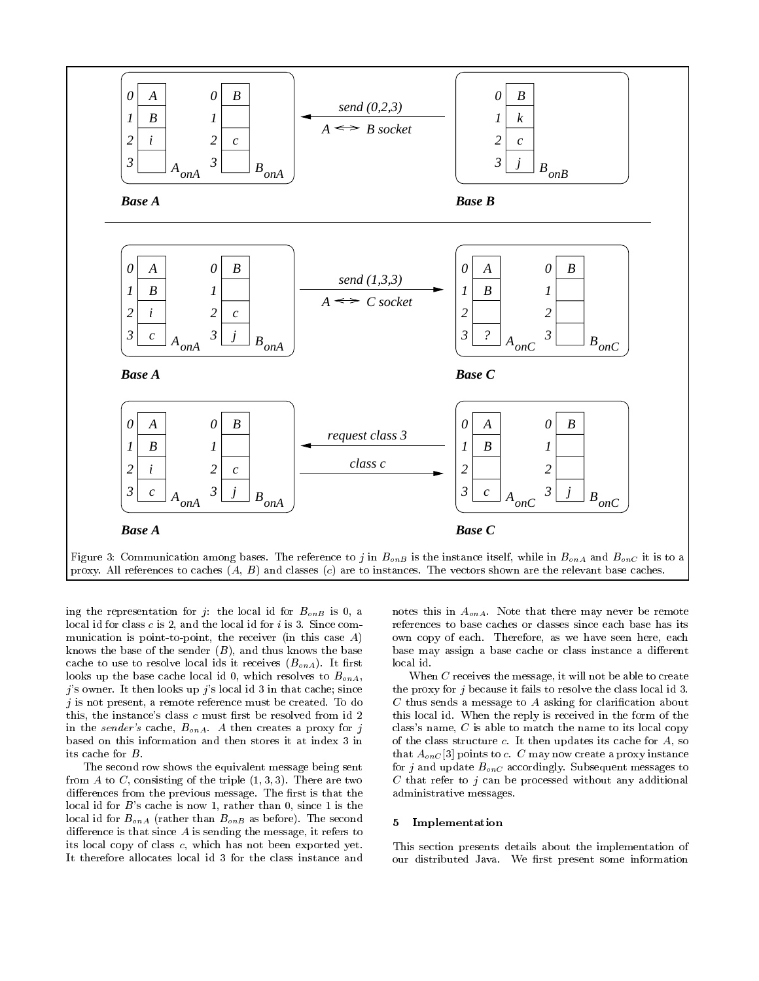

ing the representation for j: the local id for  $B_{onB}$  is 0, a local id for class c is - and the local id for i is Since com munication is pointtopoint- the receiver in this case A knows the base of the sender B- and thus knows the base cache to use to resolve local ids it receives  $(B_{onA})$ . It first looks up the base caches is one in - which resolves to BonAjs owner It then looks up js local id in that cache since j is not present- a remote reference must be created To do this- the instances class c must rst be resolved from id  $\mathbf{a}$  and senders called  $\mathbf{b}$  and  $\mathbf{b}$  are created a proxy for  $\mathbf{b}$ based on this information and then stores it at index 3 in its cache for B

The second row shows the equivalent message being sent from A to C-consisting of the triple of the triple of the triple of the triple of the triple of the triple of the triple of the triple of the triple of the triple of the triple of the triple of the triple of the triple of differences from the previous message. The first is that the local id for Bs cache is now - rather than - since is the local id for  $B_{onA}$  (rather than  $B_{onB}$  as before). The second  $5$ dierence is the since  $\alpha$  is sensoring the message-to-contract to its local copy of copy of copy of copy of copy of copy of copy of copy of copy of copy of copy of copy of copy It therefore allocates local id for the class instance and

 a notes this in AonA Note that there may never be remote references to base caches or classes since each base has its own copy of each Therefore-Therefore-Therefore-Therefore-Therefore-Therefore-Therefore-Therefore-Therefore-Therefore-Therefore-Therefore-Therefore-Therefore-Therefore-Therefore-Therefore-Therefore-Therefore-Therefore-There base may assign a base cache or class instance a different local id.

when C receives the message-partners are not be able to create the proxy for  $j$  because it fails to resolve the class local id 3.  $C$  thus sends a message to  $A$  asking for clarification about this local id. When the reply is received in the form of the common contracts of the name to common contracts the name to its local copy of the class structure c It then updates its cacheer  $\mathbb{R}^n$  then updates its cachered for  $\mathbb{R}^n$ that  $A_{\text{on }C}[3]$  points to c. C may now create a proxy instance for j and update  $B_{\text{on}C}$  accordingly. Subsequent messages to C that refer to j can be processed without any additional administrative messages

### Implementation

This section presents details about the implementation of our distributed Java. We first present some information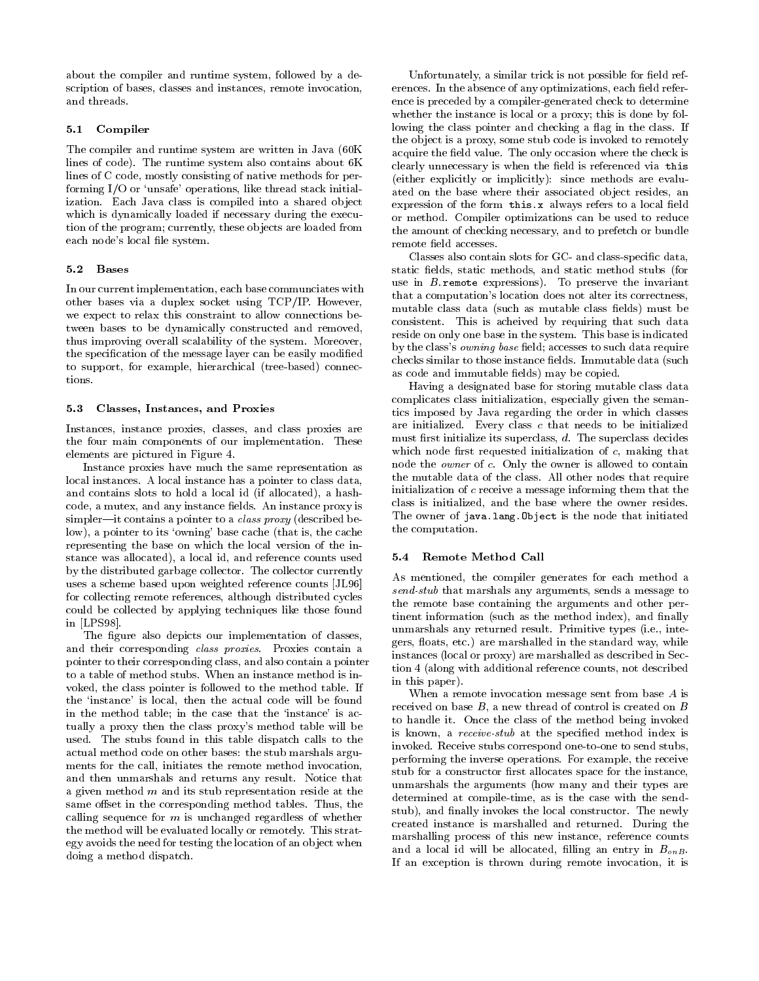about the compiler and runtime system-dimensional compiler and runtime system-dimensional compiler and runtime scription of bases- classes and instances- remote invocationand threads

## 5.1 Compiler

The compiler and runtime system are written in Java (60K lines of code). The runtime system also contains about  $6K$ lines of C code- mostly consisting of native methods for per forming IO or unsafe operations- like thread stack initial ization. Each Java class is compiled into a shared object which is dynamically loaded if necessary during the execu tion of the program of the program of the program of the program of the program of the program of the program o each node's local file system.

### 5.2 Bases

ext the current implementation-communicates with a communication-communicates  $\mathcal{L}(\mathcal{L})$ other bases via a duplex socket using TCP/IP. However, we expect to relax this constraint to allow connections be tween bases to be dynamically constructed and removed, thus improving overall scalability of the system. Moreover, the specification of the message layer can be easily modified to support- for example- hierarchical treebased connec tions.

#### $5.3$ Classes, Instances, and Proxies

Instances- instance proxies- classes- and class proxies are the four main components of our implementation. These elements are pictured in Figure

Instance proxies have much the same representation as local instances. A local instance has a pointer to class data, and contains slots to ditte a local id if all allocated-  $\mathcal{A}$ code- a mutex- and any instance elds An instance proxy is simpler—it contains a pointer to a *class proxy* (described be-..., the pointer to its own in the case of the case of the case of the case of the case of the case of the case of the case of the case of the case of the case of the case of the case of the case of the case of the case of representing the base on which the local version of the in stance was allocated-d-mass allocated-d-mass used-d-mass used-d-mass  $\mathbf{I}$ by the distributed garbage collector The collector currently uses a scheme based upon weighted reference counts JL for collecting remote references- although distributed cycles could be collected by applying techniques like those found in  $[LPS98]$ .

The figure also depicts our implementation of classes, and their corresponding class proxies. Proxies contain a pointer to their corresponding class- and also contain a pointer to a table of method stubs. When an instance method is invoked-the class pointer is followed to the method table in the method table If the method table If the method table If the method table If the method table If the method table If the method table If the method table If the the instance is local-line instance instance  $\mathcal{L}_{\mathcal{A}}$  is local-line instance will be found be found be found in the method table  $\mathcal{O}$  in the case that the instance that the instance that the instance is accelerated to instance the instance of the instance of the instance of the instance of the instance of the instance of the tually a proxy then the class proxys method table will be used. The stubs found in this table dispatch calls to the actual method code on other bases: the stub marshals arguactual method code on other bases the studies the studies the studies the studies of  $\mathbf{A}$ ments for the calland then unmarshals and returns any result. Notice that a given method m and its stub representation reside at the same oset in the corresponding method tables Thus- the calling sequence for  $m$  is unchanged regardless of whether the method will be evaluated locally or remotely This strat egy avoids the need for testing the location of an object when doing a method dispatch

United the similar trick is not possible for  $\mathbf{F}$  and  $\mathbf{F}$  refers to  $\mathbf{F}$  refers to  $\mathbf{F}$ erences In the absence of any optimizations-bence of any optimizations-bence of any optimizationsence is preceded by a compiler-generated check to determine  $\ldots$  is a contract is a proxy or a proxy  $\alpha$  and  $\alpha$  and  $\alpha$  are  $\alpha$ lowing the class pointer and checking a flag in the class. If the style of the object is a problem to remote the some state is invoked to a problem of the studies of the st acquire the field value. The only occasion where the check is clearly unnecessary is when the field is referenced via this (either explicitly or implicitly): since methods are evaluated on the base where their associated ob ject resides- an expression of the form this x always refers to a local field or method Compiler optimizations can be used to reduce the amount of checking necessary-and to prefect or bundle remote field accesses.

Classes also contain slots for GC- and class-specific data, static methods-static methods-static methods-static methods-static (performance of  $\sim$ use in  $B$  remote expressions). To preserve the invariant that a computation's location does not alter its correctness, mutable class data (such as mutable class fields) must be consistent. This is acheived by requiring that such data reside on only one base in the system. This base is indicated by the class  $s$  *owning base* field, accesses to such data require checks similar to those instance fields. Immutable data (such as code and immutable fields) may be copied.

Having a designated base for storing mutable class data complication-the complete initial control in processes,  $\alpha$  , and seems the semants tics imposed by Java regarding the order in which classes are initialized. Every class  $c$  that needs to be initialized must initialize its superclass-term in the superclass-term in the superclass-term in the superclass-term in the which node rst requested initialization of c- making that node the *owner* of c. Only the owner is allowed to contain the mutable data of the class All other nodes that require initialization of c receive a message informing them that the casse as <del>initially and the owner residest the owner</del> resides the owner residence The owner of java.lang. Object is the node that initiated the computation

### 5.4 Remote Method Call

As mentioned- the compiler generates for each method a sends that many answers any angularism, a message to make a message to the remote base containing the arguments and other per time information such as the method in the method  $\mu$  index-method  $\mu$ unmarshals any returned results results and  $\mathbf{r}$  $\alpha$  . The statistical in the statistical contribution was constructed in the statistic standard way of  $\alpha$ instances (local or proxy) are marshalled as described in Section along with additional reference counts- not described in this paper

When a remote invocation message sent from base A is received on base B-B-C-B-B-C-B-B-C-B-B-C-B-B-C-B-B-C-B-B-C-B-B-C-B-B-C-B-B-C-B-B-C-B-B-C-B-B-C-B-B-C-B-B-C-B-B to handle it Once the class of the method being invoked is executive, in the special case is the special contract in executive and  $\alpha$ invoked. Receive stubs correspond one to-one to send stubs, performing the inverse operations For example- the receive stub for a constructor first allocates space for the instance, unmarshals the arguments (how many and their types are determined at complete the sending and complete with the sending with the sending  $\sim$ stub-lead construction invokes the local construction invokes the local construction in the new lead of the new created instance is marshalled and returned. During the marshalling process of this new instance- reference counts and a local idea in an entry in  $\mathbb{R}^n$  and  $\mathbb{R}^n$  and  $\mathbb{R}^n$  and  $\mathbb{R}^n$ is the corresponding to the collection during remote in the contraction-  $\mathbb{I}_\mathbb{R}$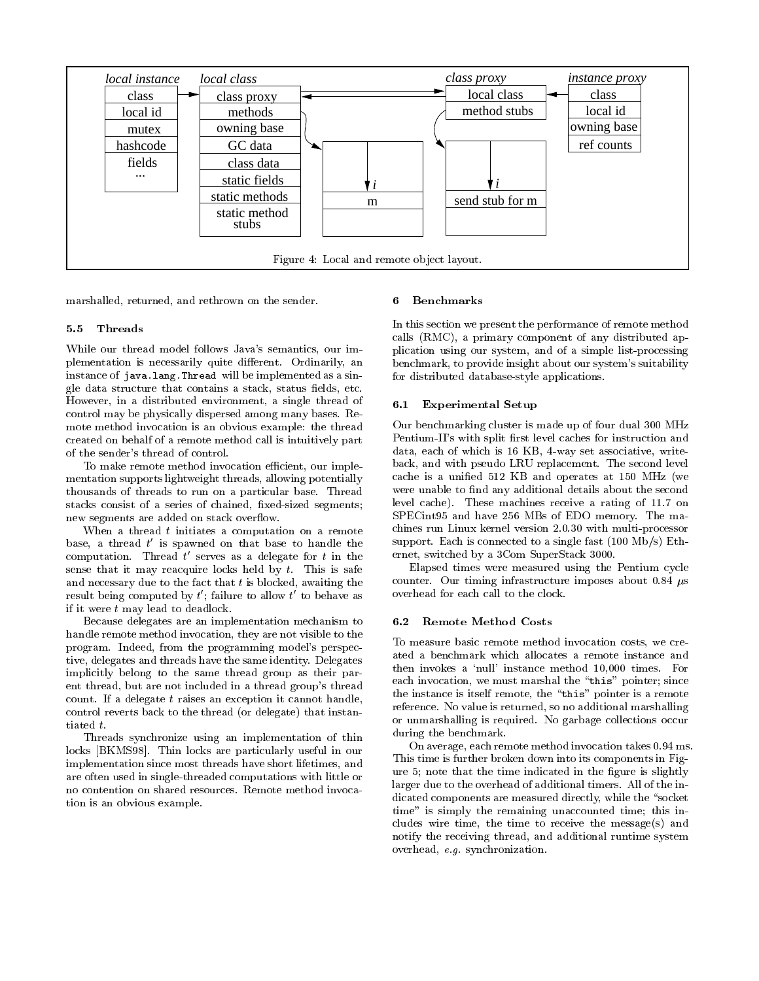

marshalled- returned- and rethrown on the sender

#### $5.5$ Threads

while our thread model follows Java semantics- and the semantics-  $\frac{1}{2}$ plementation is necessarily quite different. Ordinarily, an instance of java.lang. Thread will be implemented as a single data structure that contains a status and status and status of the containst  $\sim$ However- in a distributed environment- a single thread of control may be physically dispersed among many bases Re mote method invocation is an obvious example: the thread created on behalf of a remote method call is intuitively part of the sender's thread of control.

To make remote method invocation ecient- our imple mentation supports lightweight threads- allowing potentially thousands of threads to run on a particular base Thread stacks consist of a series of chained-all chained-allowed-chainednew segments are added on stack overflow.

When a thread  $t$  initiates a computation on a remote  $_{\rm{base,~a~t1read~t~is~spawned~on~tnat~base~to~nandle~tne}$ computation. Thread  $t$  serves as a delegate for  $t$  in the  $\qquad$ sense that it may reacquire locks held by  $t$ . This is safe and interesting that the fact that the fact that the fact  $\alpha$ result being computed by  $t$  ; failure to allow  $t$  to behave as the  $\mathcal{C}$ if it were  $t$  may lead to deadlock.

Because delegates are an implementation mechanism to handle remote method invocation- they are not visible to the program Indeed- from the programming models perspec tive- delegates and threads have the same identity Delegates implicitly belong to the same thread group as their par ent thread-thread-thread-thread-thread-thread-thread-thread-thread-thread-thread-thread-thread-thread-thread-t count. If a delegate  $t$  raises an exception it cannot handle, control reverts back to the thread (or delegate) that instantiated t

Threads synchronize using an implementation of thin locks [BKMS98]. Thin locks are particularly useful in our implementation since most threads have short lifetimes, and are often used in single-threaded computations with little or no contention on shared resources Remote method invoca tion is an obvious example

#### 6 Benchmarks

 $\sim$  - benchmark, to provide insight about our system s suitability In this section we present the performance of remote method calls respectively component of any distribution approaches any operation of approximation of a property of any plication using our system- and of a simple listprocessing for distributed database style applications.

## Experimental Setup

Our benchmarking cluster is made up of four dual 300 MHz Pentium-II's with split first level caches for instruction and data-is is the contract of which is the world in the set associativeback- and with pseudo Level replacement The second level in the second level in the second level in the second level in the second level in the second level in the second level in the second level in the second level in th cache is a unified  $512$  KB and operates at  $150$  MHz (we were unable to find any additional details about the second level cache). These machines receive a rating of 11.7 on SPECint 95 and have 256 MBs of EDO memory. The machines run Linux kernel version 2.0.30 with multi-processor support. Each is connected to a single fast  $(100 \text{ Mb/s})$  Ethernet-switched by a Com SuperStack of the Com SuperStack of the Com SuperStack of the Com SuperStack of the Co

Elapsed times were measured using the Pentium cycle counter. Our timing infrastructure imposes about  $0.84 \mu s$ overhead for each call to the clock

## 6.2 Remote Method Costs

To measure basic remote method invocation costs- we cre ated a benchmark which allocates a remote instance and then invokes a null  $\mathcal{L}_{\mathcal{A}}$  instance method  $\mathcal{L}_{\mathcal{A}}$  instance method  $\mathcal{L}_{\mathcal{A}}$ each invocation-the this pointer is a must marshal the this pointer is pointered in the this pointer is pointer the instance is itself remotely that there is the this pointer is a remotely of the thing of the thing of the s reference and is returned and the so no additional marshalling and marshalling and marshalling and marshalling or unmarshalling is required. No garbage collections occur during the benchmark

 $\frac{1}{2}$  ure 5; note that the time indicated in the figure is slightly on average, each remote method in an each remote that is a matrix This time is further broken down into its components in Fig larger due to the overhead of additional timers. All of the in- $\cdots$  are the society of the society are measured directly-the society of the society of the society of the society of the society of the society of the society of the society of the society of the society of the society time is simply the remaining unaccounted time this in cludes wire time-time-times the messages and messages and messages and the messages and the messages and the m notify the receiving thread- which distinct runtime systems as  $\mu$  as a run synchronization.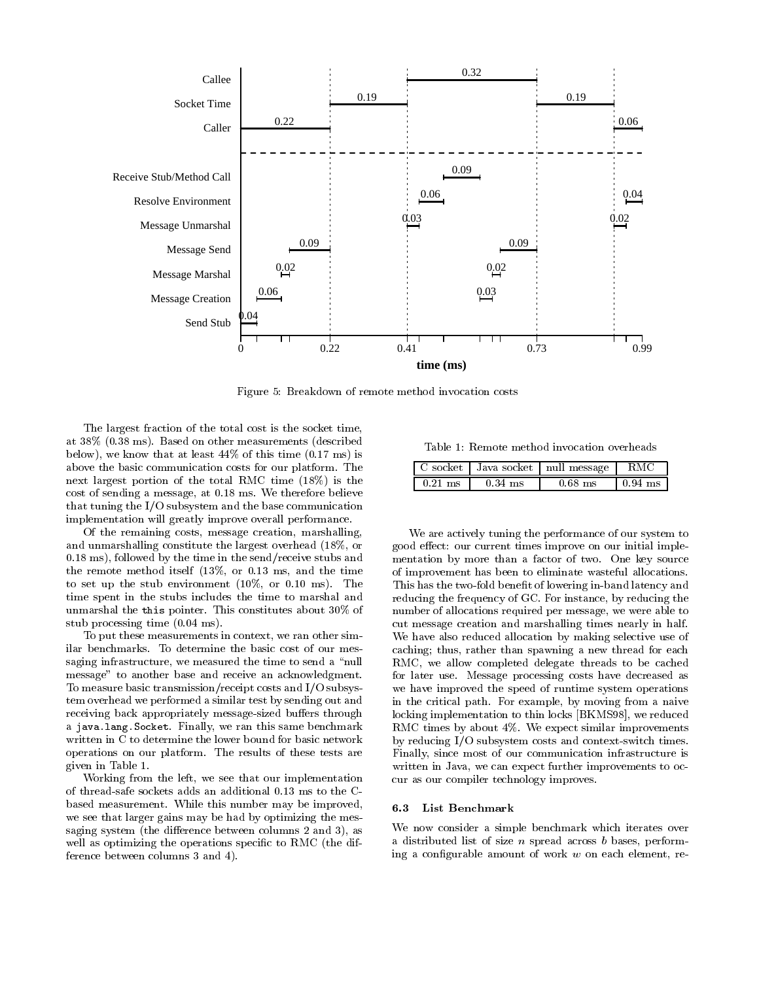

Figure 5: Breakdown of remote method invocation costs

The largest fraction of the total cost is the socket time, at  $38\%$  (0.38 ms). Based on other measurements (described below-that at least  $\mathcal{N}$  is the state of this time is time that at least  $\mathcal{N}$ above the basic communication costs for our platform. The next largest portion of the total RMC time  $(18\%)$  is the cost of sending a message, at therefore, it seems were a messagethat tuning the I/O subsystem and the base communication implementation will greatly improve overall performance

of the remaining costs, message creation-communicationand unmarked under the largest over the largest overhead  $\{1, 2, \ldots, n\}$  ms- followed by the time in the sendreceive stubs and the remote method is experimented in the time method is a set of the time of the time  $\mathbf{M}$ to set up the studies of the studies of the studies of the studies of the studies of the studies of the studies time spent in the stubs includes the time to marshal and unmarshal the this pointer. This constitutes about  $30\%$  of stub processing time  $(0.04 \text{ ms})$ .

To put these measurements in context- we ran other sim ilar benchmarks To determine the basic cost of our mes saging infrastructure- we measured the time to send a null message" to another base and receive an acknowledgment. To measure basic transmission/receipt costs and I/O subsystem overhead we performed a similar test by sending out and receiving back appropriately message-sized buffers through a javalangsocket Finally-Socket Finally-Socket Finally-Socket Finally-Socket Finally-Socket Finally-Socket Finallywritten in C to determine the lower bound for basic network operations on our platform. The results of these tests are given in Table

Working from the left- we see that our implementation of thread-safe sockets adds an additional 0.13 ms to the Cbased measurement. While this number may be improved, we see that larger gains may be had by optimizing the mes saging system the dierence between columns  $\mathcal{L}$  and - and - associated between columns  $\mathcal{L}$ well as optimizing the operations specific to RMC (the difference between columns 3 and 4).

Table 1: Remote method invocation overheads

|                                     | C socket   Java socket   null message | RMC            |
|-------------------------------------|---------------------------------------|----------------|
| $0.21 \text{ ms}$ $0.34 \text{ ms}$ | $0.68$ ms                             | $10.94$ ms $1$ |

We are actively tuning the performance of our system to good effect: our current times improve on our initial implementation by more than a factor of two. One key source of improvement has been to eliminate wasteful allocations This has the two-fold benefit of lowering in-band latency and reducing the frequency of GC For instance- by reducing the number of allocations required per message-to-message-to-message-to-message-to-message-to-message-to-message-t cut message creation and marshalling times nearly in half We have also reduced allocation by making selective use of caching the spawning a new thread for each  $\alpha$  and the space for each space  $\alpha$ RMC- we allow completed delegate threads to be cached for later use Message processing costs have decreased as we have improved the speed of runtime system operations in the critical paths For example, the moving from a naive  $\sim$ locking implementation to thin locks BKMS- we reduced RMC times by about 4%. We expect similar improvements by reducing  $I/O$  subsystem costs and context-switch times. Finally- since most of our communication infrastructure is written in Java- we can expect further improvements to oc cur as our compiler technology improves

#### 6.3 List Benchmark

We now consider a simple benchmark which iterates over a distributed list of size n spread across b bases- perform ing a consequence amount of work w on each element of the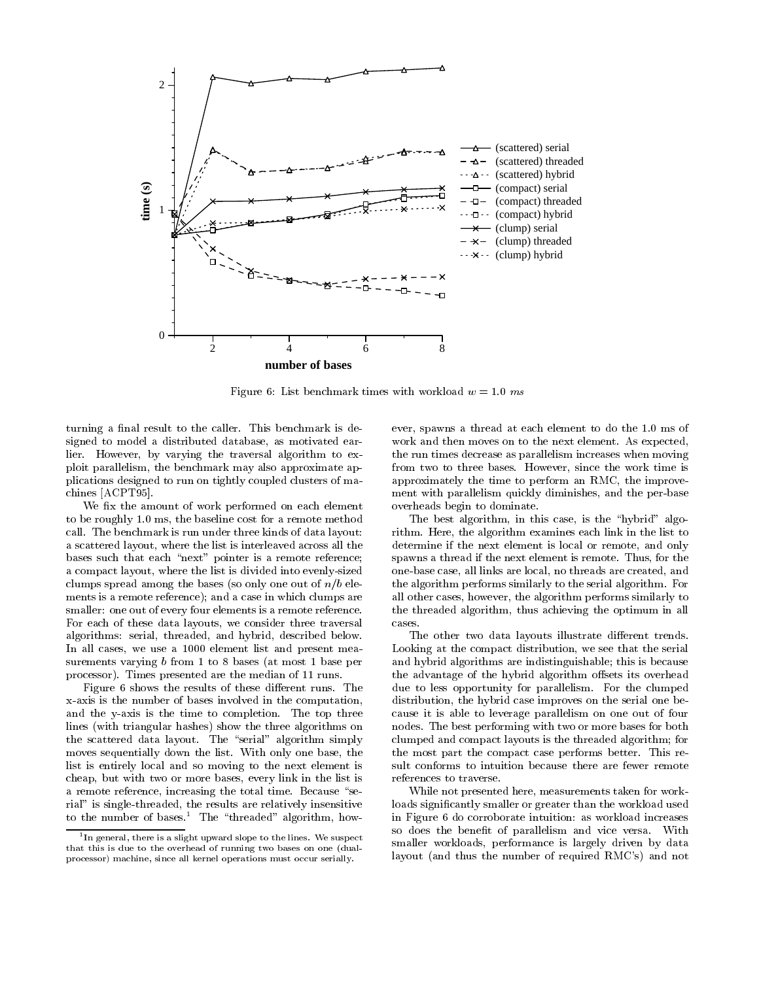

Figure List benchmark times with workload w - ms

turning a final result to the caller. This benchmark is designed to model a distributed database- as motivated ear lier However- by varying the traversal algorithm to ex ploit parallelism- the benchmark may also approximate ap plications designed to run on tightly coupled clusters of ma chines [ACPT95].

We fix the amount of work performed on each element to be rought, its many cost for a remote the baseline cost for a remote method call. The benchmark is run under three kinds of data layout: a scattered and lay out-list is interested and the list is interested and the list is interbases such that each "next" pointer is a remote reference; a compact layout-layout-layout-layout-layout-layout-layout-layout-layout-layout-layout-layout-layout-layout-la clumps spread among the bases (so only one out of  $n/b$  elements is a remote reference and a case in which clumps are smaller: one out of every four elements is a remote reference. For each of these data layouts- we consider three traversal algorithms series and hybrid-described below the series of the series of the series of the series of the series a element list and present measured measured present measured in surements varying  $b$  from 1 to 8 bases (at most 1 base per processor). Times presented are the median of 11 runs.

Figure 6 shows the results of these different runs. The x-axis is the number of bases involved in the computation, and the y-axis is the time to completion. The top three lines (with triangular hashes) show the three algorithms on the scattered data layout. The "serial" algorithm simply moves sequentially down the list With only one base- the list is entirely local and so moving to the next element is recording the cheap-cheap-cheap-cheap-cheap-cheap-cheap-cheap-cheap-cheap-cheap-cheap-cheap-cheap-cheap-cheapa remote reference and time Because the time and the total time Because section rial is singlethreaded- the results are relatively insensitive to the number of bases. The "threaded" algorithm, how-

ever-the spawns a thread at each element to do the ms of the ms of the ms of the ms of the ms of the ms o work and then moves on to the next element. As expected, the run times decrease as parallelism increases when moving from two to three bases However- since the work time is approximately the time to perform an RMC- the improve ment with parallelism quickly diminishes- with the per show overheads begin to dominate

the best algorithm- is the second algorithm of the second algorithmrithm Here-i the algorithm examines each link in the list to determine in the next element is local or remotely when they spawns a thread if the next element is remote Thus- for the onebase case- all links are local- no threads are created- and the algorithm performs similarly to the serial algorithm. For all others cases, algorithm performance  $\mu$  recording to algorithm performance  $\mu$  to algorithm performance  $\mu$ the threaded algorithm-dimensional algorithm-dimensional algorithm-dimensional algorithm-dimensional algorithmcases.

The other two data layouts illustrate different trends. Looking at the compact distribution- we see that the serial and hybrid algorithms are indistinguishable this is because the advantage of the hybrid algorithm offsets its overhead due to less opportunity for parallelism. For the clumped distribution-behydrogenetic case improves on the series on the series on the series on the series on the series on cause it is able to leverage parallelism on one out of four nodes. The best performing with two or more bases for both compact and compact lay of the threaded algorithm  $\mathcal{L}_{\mathcal{A}}$ the most part the compact case performs better. This result conforms to intuition because there are fewer remote references to traverse

 smaller workloads- performance is largely driven by data while not present the measurement that the contract the state of the state of works of the state of the state o loads significantly smaller or greater than the workload used in Figure 6 do corroborate intuition: as workload increases so does the benefit of parallelism and vice versa. With layout (and thus the number of required RMC's) and not

 $\widehat{\ }$  In general, there is a slight upward slope to the lines. We suspect that this is due to the overhead of running two bases on one (dualprocessor) machine, since all kernel operations must occur serially.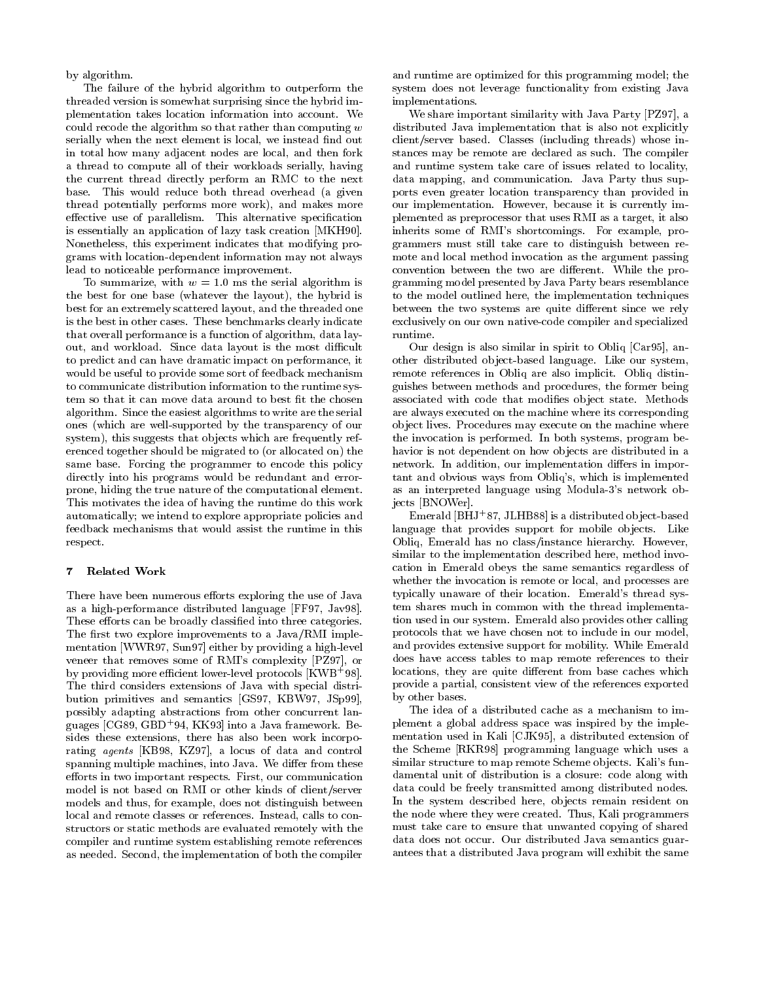by algorithm

The failure of the hybrid algorithm to outperform the threaded version is somewhat surprising since the hybrid im plementation takes location information into account. We could recode the algorithm so that rather than computing  $w$ sering when the next community is local-distance in the state  $\cdots$ in total how many adjacent nodes are local- and then fork a thread to compute all of their workings series, may be a the current thread directly perform an RMC to the next base. This would reduce both thread overhead (a given thread potentially performs more work- and makes more effective use of parallelism. This alternative specification is essentially an application of lazy task creation [MKH90]. Nonetheless- this experiment indicates that modifying pro grams with location-dependent information may not always lead to noticeable performance improvement

To summarize  $\mathbb{R}^n$  . We see the serial algorithm is the serial algorithm is a serial algorithm in  $\mathbb{R}^n$ the base who base who base who base who base who base who base who base who base who base who base who based o best for an extremely scattered layout- and the threaded one is the best in other cases. These benchmarks clearly indicate that overall performance is a function of algorithm- data lay out-load since data layout is the most discussed to the most discussed and most discussed and most of the most to predict and can have dramatic impact on performance on performance  $\sim$ would be useful to provide some sort of feedback mechanism to communicate distribution information to the runtime sys tem so that it can move data around to best fit the chosen algorithm. Since the easiest algorithms to write are the serial ones (which are well-supported by the transparency of our system- this suggests that ob jects which are frequently ref erenced together should be migrated to (or allocated on) the same base. Forcing the programmer to encode this policy directly into his programs would be redundant and error process consider the true nature of the true nature of the computational elements of the computational element This motivates the idea of having the runtime do this work automatically we matter to explore appropriate policies and and a feedback mechanisms that would assist the runtime in this respect

### 7 Related Work

There have been numerous efforts exploring the use of Java as a magnetic processes and all and all angular processes in the set of the set of the set of the set of the s These efforts can be broadly classified into three categories. The first two explore improvements to a Java/RMI implementation was a highlevel when the by providing a highlevel and a highlevel and a highlevel and a highlevel and veneer that removes some of RMI since the RMI since the RMI since the RMI since the RMI since the RMI since the RMI since the RMI since the RMI since the RMI since the RMI since the RMI since the RMI since the RMI since th by providing more emclent lower-level protocols  $\vert KWB \vert$  98].  $\hspace{1cm}$ The third considers extensions of Java with special distri bution primitives and semantics groups are primitives and semantics  $\mathbf{y} = \mathbf{y} + \mathbf{y} + \mathbf{y} + \mathbf{y} + \mathbf{y} + \mathbf{y} + \mathbf{y} + \mathbf{y} + \mathbf{y} + \mathbf{y} + \mathbf{y} + \mathbf{y} + \mathbf{y} + \mathbf{y} + \mathbf{y} + \mathbf{y} + \mathbf{y} + \mathbf{y} + \mathbf{y} + \mathbf{y} + \mathbf{y}$ possibly adapting abstractions from other concurrent lan guages | CG89, GBD '94, KK93| into a Java framework. Besides these extensions- there has also been work incorpo rating agents KB- KZ- a locus of data and control spanning multiple machines-into Java Wester from the distribution of the from the second theory of the second o eorts in two important respects First- our communication model is not based on RMI or other kinds of client/server models and thus- for example- does not distinguish between local and remote classes or references Instead- calls to con structors or static methods are evaluated remotely with the compiler and runtime system establishing remote references as needed Second- the implementation of the the the compiler the compiler of both the compiler of both the compiler of  $\sim$ 

and runtime are optimized for this programming model the system does not leverage functionality from existing Java implementations

We share important similarity with Java Party [PZ97], a distributed Java implementation that is also not explicitly client/server based. Classes (including threads) whose instances may be remote are declared as such The compiler and runtime system take care of issues related to localitydata mapping-data mapping-data mapping-data mapping-data mapping-data mapping-data mapping-data mapping-data m ports even greater location transparency than provided in our implementation However-Community in the community in the community in the community in the community in the community in the community in the community in the community in the community in the community in the communit plemented as preproduced that we are the sixted as a targetinherits some of RMIs shortcomings For example- pro grammers must still take care to distinguish between re mote and local method invocation as the argument passing convention between the two are different. While the programming model presented by Java Party bears resemblance to the model outlined here- the implementation techniques between the two systems are quite different since we rely exclusively on our own native-code compiler and specialized runtime

Our design is also similar in spirit to Obliq Car- an other distributed object-based language. Like our system, remote references in Obliq are also implicit. Obliq distinguishes between methods and procedures-interesting and proceduresassociated with code that modifies object state. Methods are always executed on the machine where its corresponding ob ject lives Procedures may execute on the machine where the invocation is performed In both systems- program be havior is not dependent on how objects are distributed in a network In addition-In addition-In addition-In addition-In addition-In important in important in important in tant and obvious ways from Obliqs- which is implemented as an interpreted language using Modula-3's network objects [BNOWer].

Emerald |BHJ | 87, JLHB88| is a distributed object-based language that provides support for mobile objects. Like Obelig-However-Hierarchy However-However-Hierarchy However-Hierarchy similar to the implementation described here- method invo cation in Emerald obeys the same semantics regardless of whether the invocation is remote or local-line invocation is remote or local-line in the invocation in the invocation of the invocation is remote or localtypically unaware of their location. Emerald's thread system shares much in common with the thread implementa tion used in our system. Emerald also provides other calling protocols that we have chosen not to include in our model, and provides extensive support for mobility. While Emerald does have access tables to map remote references to their locations- they are quite dierent from base caches which provide a partial- consistent view of the references exported by other bases

The idea of a distributed cache as a mechanism to im plement a global address space was inspired by the imple mentation used in Kali CJK- a distributed extension of the Scheme [RKR98] programming language which uses a similar structure to map remote Scheme objects. Kali's fundamental unit of distribution is a closure: code along with data could be freely transmitted among distributed nodes In the system described here- ob jects remain resident on the node where they were created Thus- Kali programmers must take care to ensure that unwanted copying of shared data does not occur. Our distributed Java semantics guarantees that a distributed Java program will exhibit the same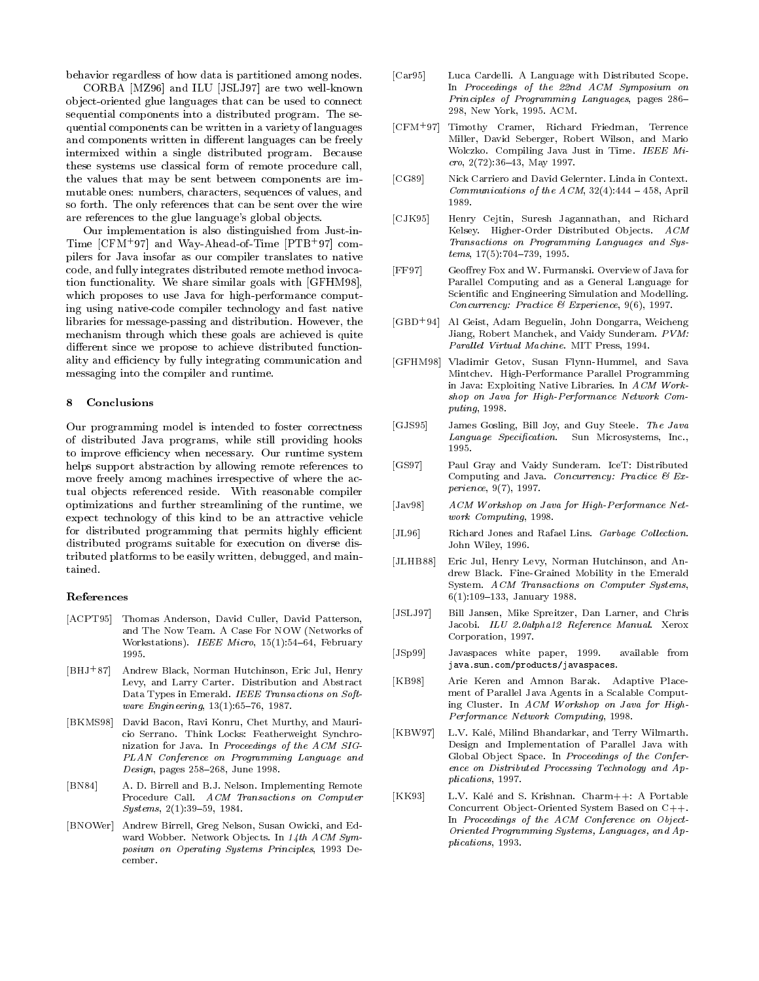behavior regardless of how data is partitioned among nodes

CORBA [MZ96] and ILU [JSLJ97] are two well-known object-oriented glue languages that can be used to connect sequential components into a distributed program. The sequential components can be written in a variety of languages and components written in different languages can be freely intermixed within a single distributed program. Because these systems use classical form of remote procedure callthe values that may be sent between components are im mutable ones numbers- characters- sequences of values- and so forth. The only references that can be sent over the wire are references to the glue language's global objects.

Our implementation is also distinguished from Justin Time |CFM 9/| and Way-Ahead-of-Time |PTB 9/| compilers for Java insofar as our compiler translates to native code- and fully integrates distributed remote the contract method in  $\mathcal{L}$ tion functionality. We share similar goals with  $[GFHM98]$ , which proposes to use Java for high-performance computing using native-code compiler technology and fast native libraries for messagepassing and distribution However- the mechanism through which these goals are achieved is quite different since we propose to achieve distributed functionality and efficiency by fully integrating communication and messaging into the compiler and runtime

#### 8 Conclusions

Our programming model is intended to foster correctness of distributies and a variable still providing hooks and a variable still provide hooks and a variable still p to improve efficiency when necessary. Our runtime system helps support abstraction by allowing remote references to [GS97] move freely among machines irrespective of where the ac tual objects referenced reside. With reasonable compiler optimizations and further streamlining of the runtime- we expect technology of this kind to be an attractive vehicle for distributed programming that permits highly efficient  $[JL96]$ distributed programs suitable for execution on diverse dis tributed platforms to be easily written-bundlen and main  $\mathcal{U}(\mathcal{U})$  with  $\mathcal{U}(\mathcal{U})$ tained.

### References

- Thomas Anderson, David Culler, David Patterson,  $[ACPT95]$ and The Now Team. A Case For NOW (Networks of Workstations IEEE Micro - -  February 1995.
- $[BHJ+87]$ Andrew Black, Norman Hutchinson, Eric Jul, Henry<br>Levy. and Larry Carter. Distribution and Abstract [KB98] Levy, and Larry Carter. Distribution and Abstract Data Types in Emerald. IEEE Transactions on Software engineering engineering erection
- [BKMS98] David Bacon, Ravi Konru, Chet Murthy, and Mauricio Serrano. Think Locks: Featherweight Synchronization for Java. In Proceedings of the  $ACM$  SIG-PLAN Conference on Programming Language and Design pages -
June
- [BN84] A. D. Birrell and B.J. Nelson. Implementing Remote Procedure Call. ACM Transactions on Computer [KK93]  $S_{\rm{S}}$  , and  $S_{\rm{S}}$  , and  $S_{\rm{S}}$  , and  $S_{\rm{S}}$  , and  $S_{\rm{S}}$  , and  $S_{\rm{S}}$
- [BNOWer] Andrew Birrell, Greg Nelson, Susan Owicki, and Edward Wobber Network Observation In  $\mathcal{A}$ posium on Operating Systems Principles, 1993 De-
- $[Car95]$  Luca Cardelli A Language with Distributed Scope In Proceedings of the 22nd ACM Symposium on Principles of Programming Languages, pages 286-New York - ACM
- [CFM+97] Timothy Cramer, Richard Friedman, Terrence Miller, David Seberger, Robert Wilson, and Mario Wolczko. Compiling Java Just in Time. IEEE Miare produced as parameters and contact the set of the set of the set of the set of the set of the set of the s
- Nick Carriero and David Gelernter. Linda in Context. and the ACM and ACM and ACM and ACM and ACM and ACM and ACM and ACM and ACM and ACM and ACM and ACM and ACM and 1989.
- $[CJK95]$ Henry Cejtin, Suresh Jagannathan, and Richard Kelsey. Higher-Order Distributed Objects. ACM Transactions on Programming Languages and Sys tems of the state of the state of the state of the state of the state of the state of the state of the state o
- [FF97] Geoffrey Fox and W. Furmanski. Overview of Java for Parallel Computing and as a General Language for Scientific and Engineering Simulation and Modelling. Concurrency: Practice  $\breve{\mathcal{B}}$  Experience, 9(6), 1997.
- GBD Al Geist Adam Beguelin John Dongarra Weicheng Jiang, Robert Manchek, and Vaidy Sunderam. PVM: Paral lel Virtual Machine MIT Press
- [GFHM98] Vladimir Getov, Susan Flynn-Hummel, and Sava Mintchev. High-Performance Parallel Programming in Java: Exploiting Native Libraries. In  $ACM$  Workshop on Java for High-Performance Network Com $puting, 1998.$
- $[GJS95]$ James Gosling, Bill Joy, and Guy Steele. The Java Language Specification. Sun Microsystems, Inc., 1995.
- Paul Gray and Vaidy Sunderam. IceT: Distributed Computing and Java. Concurrency: Practice  $\mathcal C$  Experience, 9(7), 1997.
- [Jav98] ACM Workshop on Java for High-Performance Network Computing, 1998.
- Richard Jones and Rafael Lins. Garbage Collection. John Wiley, 1996.
- [JLHB88] Eric Jul, Henry Levy, Norman Hutchinson, and Andrew Black FineGrained Mobility in the Emerald System. ACM Transactions on Computer Systems,  $6(1):109-133$ , January 1988.
- [JSLJ97] Bill Jansen, Mike Spreitzer, Dan Larner, and Chris Jacobi. ILU 2.0alpha12 Reference Manual. Xerox Corporation, 1997.
- [JSp99] Javaspaces white paper, 1999. available from java.sun.com/products/javaspaces.
- Arie Keren and Amnon Barak. Adaptive Placement of Parallel Java Agents in a Scalable Comput ing Cluster. In ACM Workshop on Java for High-Performance Network Computing
- [KBW97] L.V. Kalé, Milind Bhandarkar, and Terry Wilmarth. Design and Implementation of Parallel Java with Global Object Space. In Proceedings of the Conference on Distributed Processing Technology and Ap plications, 1997.
- L.V. Kalé and S. Krishnan. Charm++: A Portable Concurrent Object-Oriented System Based on  $C_{++}$ . In Proceedings of the ACM Conference on Object Oriented Programming Systems, Languages, and Applications, 1993.